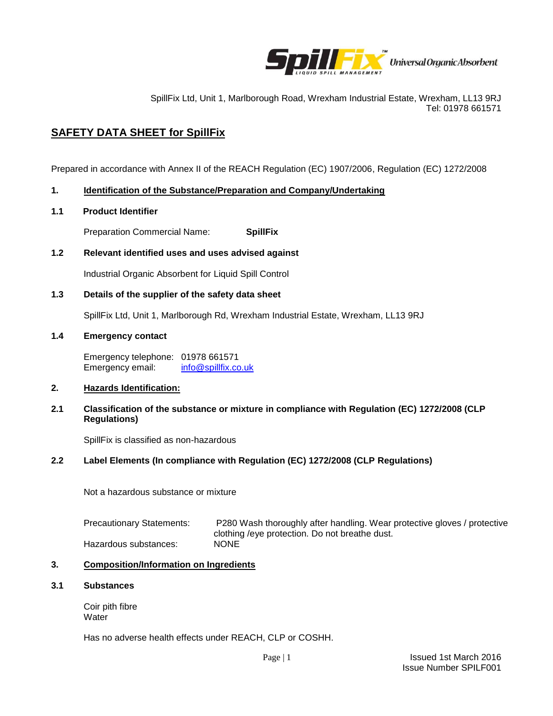

SpillFix Ltd, Unit 1, Marlborough Road, Wrexham Industrial Estate, Wrexham, LL13 9RJ Tel: 01978 661571

# **SAFETY DATA SHEET for SpillFix**

Prepared in accordance with Annex II of the REACH Regulation (EC) 1907/2006, Regulation (EC) 1272/2008

# **1. Identification of the Substance/Preparation and Company/Undertaking**

# **1.1 Product Identifier**

Preparation Commercial Name: **SpillFix**

# **1.2 Relevant identified uses and uses advised against**

Industrial Organic Absorbent for Liquid Spill Control

# **1.3 Details of the supplier of the safety data sheet**

SpillFix Ltd, Unit 1, Marlborough Rd, Wrexham Industrial Estate, Wrexham, LL13 9RJ

# **1.4 Emergency contact**

Emergency telephone: 01978 661571 Emergency email: [info@spillfix.co.uk](mailto:info@spillfix.co.uk)

# **2. Hazards Identification:**

## **2.1 Classification of the substance or mixture in compliance with Regulation (EC) 1272/2008 (CLP Regulations)**

SpillFix is classified as non-hazardous

# **2.2 Label Elements (In compliance with Regulation (EC) 1272/2008 (CLP Regulations)**

Not a hazardous substance or mixture

| <b>Precautionary Statements:</b> | P280 Wash thoroughly after handling. Wear protective gloves / protective |
|----------------------------------|--------------------------------------------------------------------------|
|                                  | clothing /eye protection. Do not breathe dust.                           |
| Hazardous substances:            | <b>NONE</b>                                                              |

# **3. Composition/Information on Ingredients**

## **3.1 Substances**

Coir pith fibre **Water** 

Has no adverse health effects under REACH, CLP or COSHH.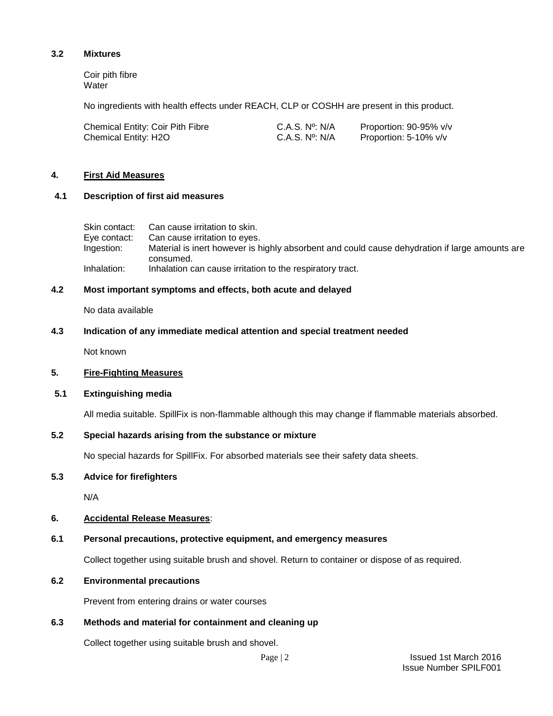## **3.2 Mixtures**

Coir pith fibre **Water** 

No ingredients with health effects under REACH, CLP or COSHH are present in this product.

| <b>Chemical Entity: Coir Pith Fibre</b> | C.A.S. N°: N/A           | Proportion: 90-95% v/v |
|-----------------------------------------|--------------------------|------------------------|
| Chemical Entity: H2O                    | C.A.S. $N^{\circ}$ : N/A | Proportion: 5-10% v/v  |

#### **4. First Aid Measures**

#### **4.1 Description of first aid measures**

| Skin contact: | Can cause irritation to skin.                                                                  |
|---------------|------------------------------------------------------------------------------------------------|
| Eve contact:  | Can cause irritation to eyes.                                                                  |
| Ingestion:    | Material is inert however is highly absorbent and could cause dehydration if large amounts are |
|               | consumed.                                                                                      |
| Inhalation:   | Inhalation can cause irritation to the respiratory tract.                                      |

#### **4.2 Most important symptoms and effects, both acute and delayed**

No data available

# **4.3 Indication of any immediate medical attention and special treatment needed**

Not known

## **5. Fire-Fighting Measures**

### **5.1 Extinguishing media**

All media suitable. SpillFix is non-flammable although this may change if flammable materials absorbed.

## **5.2 Special hazards arising from the substance or mixture**

No special hazards for SpillFix. For absorbed materials see their safety data sheets.

## **5.3 Advice for firefighters**

N/A

## **6. Accidental Release Measures**:

#### **6.1 Personal precautions, protective equipment, and emergency measures**

Collect together using suitable brush and shovel. Return to container or dispose of as required.

#### **6.2 Environmental precautions**

Prevent from entering drains or water courses

# **6.3 Methods and material for containment and cleaning up**

Collect together using suitable brush and shovel.

Page | 2 Issued 1st March 2016 Issue Number SPILF001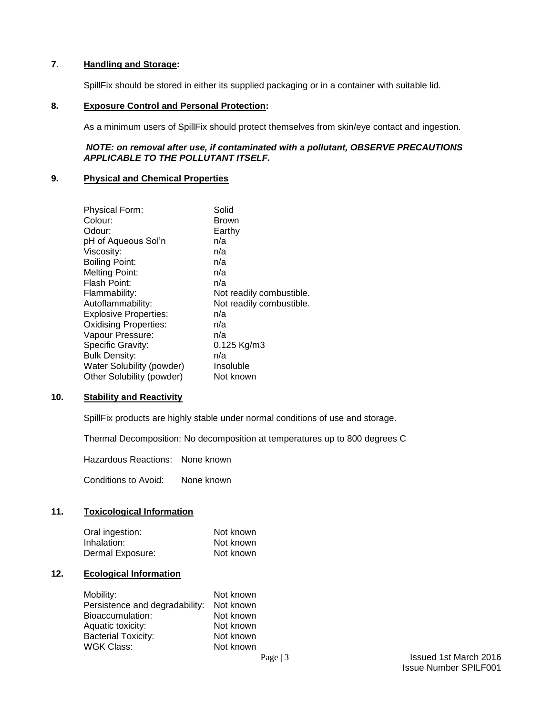# **7**. **Handling and Storage:**

SpillFix should be stored in either its supplied packaging or in a container with suitable lid.

## **8. Exposure Control and Personal Protection:**

As a minimum users of SpillFix should protect themselves from skin/eye contact and ingestion.

## *NOTE: on removal after use, if contaminated with a pollutant, OBSERVE PRECAUTIONS APPLICABLE TO THE POLLUTANT ITSELF.*

## **9. Physical and Chemical Properties**

| <b>Physical Form:</b>        | Solid                    |
|------------------------------|--------------------------|
| Colour:                      | Brown                    |
| Odour:                       | Earthy                   |
| pH of Aqueous Sol'n          | n/a                      |
| Viscosity:                   | n/a                      |
| <b>Boiling Point:</b>        | n/a                      |
| <b>Melting Point:</b>        | n/a                      |
| Flash Point:                 | n/a                      |
| Flammability:                | Not readily combustible. |
| Autoflammability:            | Not readily combustible. |
| <b>Explosive Properties:</b> | n/a                      |
| <b>Oxidising Properties:</b> | n/a                      |
| Vapour Pressure:             | n/a                      |
| Specific Gravity:            | $0.125$ Kg/m3            |
| <b>Bulk Density:</b>         | n/a                      |
| Water Solubility (powder)    | Insoluble                |
| Other Solubility (powder)    | Not known                |

#### **10. Stability and Reactivity**

SpillFix products are highly stable under normal conditions of use and storage.

Thermal Decomposition: No decomposition at temperatures up to 800 degrees C

Hazardous Reactions: None known

Conditions to Avoid: None known

# **11. Toxicological Information**

| Oral ingestion:  | Not known |
|------------------|-----------|
| Inhalation:      | Not known |
| Dermal Exposure: | Not known |

# **12. Ecological Information**

| Mobility:                      | Not known |
|--------------------------------|-----------|
| Persistence and degradability: | Not known |
| Bioaccumulation:               | Not known |
| Aquatic toxicity:              | Not known |
| <b>Bacterial Toxicity:</b>     | Not known |
| WGK Class:                     | Not known |